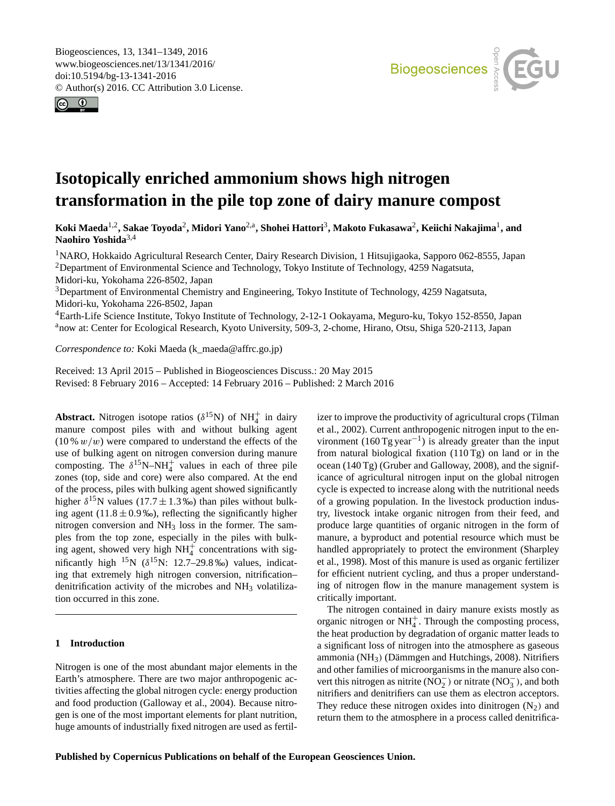<span id="page-0-1"></span>Biogeosciences, 13, 1341–1349, 2016 www.biogeosciences.net/13/1341/2016/ doi:10.5194/bg-13-1341-2016 © Author(s) 2016. CC Attribution 3.0 License.





# **Isotopically enriched ammonium shows high nitrogen transformation in the pile top zone of dairy manure compost**

 $\bf{K}$ oki Maeda<sup>[1,2](#page-0-0)</sup>, Sakae Toyoda<sup>[2](#page-0-0)</sup>, Midori Yano<sup>[2,a](#page-0-0)</sup>, Shohei Hattori<sup>[3](#page-0-0)</sup>, Makoto Fukasawa<sup>2</sup>, Keiichi Nakajima<sup>[1](#page-0-0)</sup>, and **Naohiro Yoshida**[3,4](#page-0-0)

<sup>1</sup>NARO, Hokkaido Agricultural Research Center, Dairy Research Division, 1 Hitsujigaoka, Sapporo 062-8555, Japan <sup>2</sup>Department of Environmental Science and Technology, Tokyo Institute of Technology, 4259 Nagatsuta, Midori-ku, Yokohama 226-8502, Japan

<sup>3</sup>Department of Environmental Chemistry and Engineering, Tokyo Institute of Technology, 4259 Nagatsuta, Midori-ku, Yokohama 226-8502, Japan

<sup>4</sup>Earth-Life Science Institute, Tokyo Institute of Technology, 2-12-1 Ookayama, Meguro-ku, Tokyo 152-8550, Japan anow at: Center for Ecological Research, Kyoto University, 509-3, 2-chome, Hirano, Otsu, Shiga 520-2113, Japan

*Correspondence to:* Koki Maeda (k\_maeda@affrc.go.jp)

Received: 13 April 2015 – Published in Biogeosciences Discuss.: 20 May 2015 Revised: 8 February 2016 – Accepted: 14 February 2016 – Published: 2 March 2016

<span id="page-0-0"></span>**Abstract.** Nitrogen isotope ratios ( $\delta^{15}$ N) of NH<sup>+</sup><sub>4</sub> in dairy manure compost piles with and without bulking agent  $(10\% w/w)$  were compared to understand the effects of the use of bulking agent on nitrogen conversion during manure composting. The  $\delta^{15}N-NH_4^+$  values in each of three pile zones (top, side and core) were also compared. At the end of the process, piles with bulking agent showed significantly higher  $\delta^{15}$ N values (17.7  $\pm$  1.3 ‰) than piles without bulking agent  $(11.8 \pm 0.9\%)$ , reflecting the significantly higher nitrogen conversion and  $NH<sub>3</sub>$  loss in the former. The samples from the top zone, especially in the piles with bulking agent, showed very high  $NH_4^+$  concentrations with significantly high  $^{15}N$  ( $\delta^{15}N$ : 12.7–29.8‰) values, indicating that extremely high nitrogen conversion, nitrification– denitrification activity of the microbes and  $NH<sub>3</sub>$  volatilization occurred in this zone.

## **1 Introduction**

Nitrogen is one of the most abundant major elements in the Earth's atmosphere. There are two major anthropogenic activities affecting the global nitrogen cycle: energy production and food production (Galloway et al., 2004). Because nitrogen is one of the most important elements for plant nutrition, huge amounts of industrially fixed nitrogen are used as fertilizer to improve the productivity of agricultural crops (Tilman et al., 2002). Current anthropogenic nitrogen input to the environment  $(160 \text{ Tg year}^{-1})$  is already greater than the input from natural biological fixation (110 Tg) on land or in the ocean (140 Tg) (Gruber and Galloway, 2008), and the significance of agricultural nitrogen input on the global nitrogen cycle is expected to increase along with the nutritional needs of a growing population. In the livestock production industry, livestock intake organic nitrogen from their feed, and produce large quantities of organic nitrogen in the form of manure, a byproduct and potential resource which must be handled appropriately to protect the environment (Sharpley et al., 1998). Most of this manure is used as organic fertilizer for efficient nutrient cycling, and thus a proper understanding of nitrogen flow in the manure management system is critically important.

The nitrogen contained in dairy manure exists mostly as organic nitrogen or  $NH_4^+$ . Through the composting process, the heat production by degradation of organic matter leads to a significant loss of nitrogen into the atmosphere as gaseous ammonia (NH3) (Dämmgen and Hutchings, 2008). Nitrifiers and other families of microorganisms in the manure also convert this nitrogen as nitrite ( $\overline{NO_2^-}$ ) or nitrate ( $\overline{NO_3^-}$ ), and both nitrifiers and denitrifiers can use them as electron acceptors. They reduce these nitrogen oxides into dinitrogen  $(N_2)$  and return them to the atmosphere in a process called denitrifica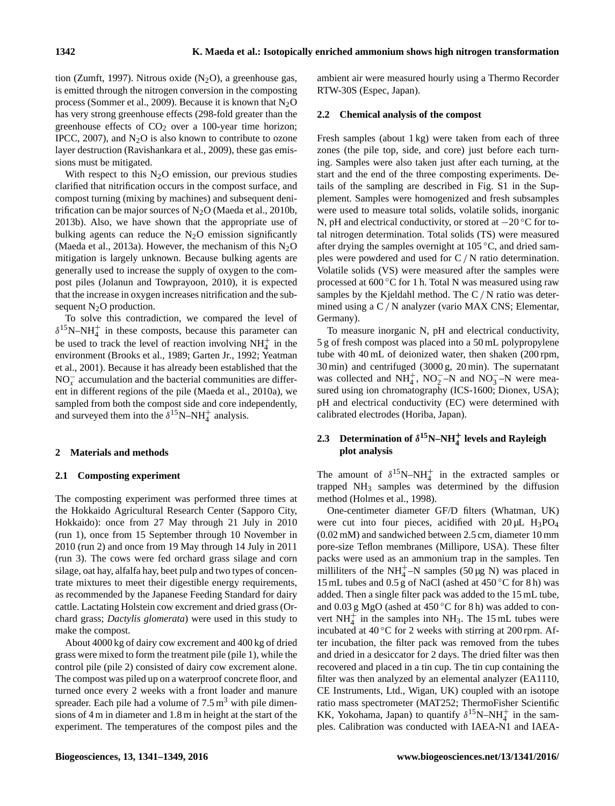tion (Zumft, 1997). Nitrous oxide  $(N_2O)$ , a greenhouse gas, is emitted through the nitrogen conversion in the composting process (Sommer et al., 2009). Because it is known that  $N_2O$ has very strong greenhouse effects (298-fold greater than the greenhouse effects of  $CO<sub>2</sub>$  over a 100-year time horizon; IPCC, 2007), and  $N_2O$  is also known to contribute to ozone layer destruction (Ravishankara et al., 2009), these gas emissions must be mitigated.

With respect to this  $N_2O$  emission, our previous studies clarified that nitrification occurs in the compost surface, and compost turning (mixing by machines) and subsequent denitrification can be major sources of  $N<sub>2</sub>O$  (Maeda et al., 2010b, 2013b). Also, we have shown that the appropriate use of bulking agents can reduce the  $N_2O$  emission significantly (Maeda et al., 2013a). However, the mechanism of this  $N_2O$ mitigation is largely unknown. Because bulking agents are generally used to increase the supply of oxygen to the compost piles (Jolanun and Towprayoon, 2010), it is expected that the increase in oxygen increases nitrification and the subsequent  $N_2O$  production.

To solve this contradiction, we compared the level of  $\delta^{15}$ N-NH<sup>+</sup><sub>4</sub> in these composts, because this parameter can be used to track the level of reaction involving  $NH_4^+$  in the environment (Brooks et al., 1989; Garten Jr., 1992; Yeatman et al., 2001). Because it has already been established that the  $NO<sub>x</sub><sup>-</sup>$  accumulation and the bacterial communities are different in different regions of the pile (Maeda et al., 2010a), we sampled from both the compost side and core independently, and surveyed them into the  $\delta^{15}$ N–NH<sup>+</sup> analysis.

## **2 Materials and methods**

#### **2.1 Composting experiment**

The composting experiment was performed three times at the Hokkaido Agricultural Research Center (Sapporo City, Hokkaido): once from 27 May through 21 July in 2010 (run 1), once from 15 September through 10 November in 2010 (run 2) and once from 19 May through 14 July in 2011 (run 3). The cows were fed orchard grass silage and corn silage, oat hay, alfalfa hay, beet pulp and two types of concentrate mixtures to meet their digestible energy requirements, as recommended by the Japanese Feeding Standard for dairy cattle. Lactating Holstein cow excrement and dried grass (Orchard grass; *Dactylis glomerata*) were used in this study to make the compost.

About 4000 kg of dairy cow excrement and 400 kg of dried grass were mixed to form the treatment pile (pile 1), while the control pile (pile 2) consisted of dairy cow excrement alone. The compost was piled up on a waterproof concrete floor, and turned once every 2 weeks with a front loader and manure spreader. Each pile had a volume of  $7.5 \text{ m}^3$  with pile dimensions of 4 m in diameter and 1.8 m in height at the start of the experiment. The temperatures of the compost piles and the ambient air were measured hourly using a Thermo Recorder RTW-30S (Espec, Japan).

#### **2.2 Chemical analysis of the compost**

Fresh samples (about 1 kg) were taken from each of three zones (the pile top, side, and core) just before each turning. Samples were also taken just after each turning, at the start and the end of the three composting experiments. Details of the sampling are described in Fig. S1 in the Supplement. Samples were homogenized and fresh subsamples were used to measure total solids, volatile solids, inorganic N, pH and electrical conductivity, or stored at −20 °C for total nitrogen determination. Total solids (TS) were measured after drying the samples overnight at  $105\,^{\circ}\text{C}$ , and dried samples were powdered and used for C/ N ratio determination. Volatile solids (VS) were measured after the samples were processed at 600 ◦C for 1 h. Total N was measured using raw samples by the Kjeldahl method. The C/ N ratio was determined using a C / N analyzer (vario MAX CNS; Elementar, Germany).

To measure inorganic N, pH and electrical conductivity, 5 g of fresh compost was placed into a 50 mL polypropylene tube with 40 mL of deionized water, then shaken (200 rpm, 30 min) and centrifuged (3000 g, 20 min). The supernatant was collected and  $NH_4^+$ ,  $NO_2^-$ –N and  $NO_3^-$ –N were measured using ion chromatography (ICS-1600; Dionex, USA); pH and electrical conductivity (EC) were determined with calibrated electrodes (Horiba, Japan).

## **2.3** Determination of  $\delta^{15}$ N–NH<sub>4</sub><sup> $+$ </sup> levels and Rayleigh **plot analysis**

The amount of  $\delta^{15}N-NH_4^+$  in the extracted samples or trapped NH<sup>3</sup> samples was determined by the diffusion method (Holmes et al., 1998).

One-centimeter diameter GF/D filters (Whatman, UK) were cut into four pieces, acidified with  $20 \mu L$  H<sub>3</sub>PO<sub>4</sub> (0.02 mM) and sandwiched between 2.5 cm, diameter 10 mm pore-size Teflon membranes (Millipore, USA). These filter packs were used as an ammonium trap in the samples. Ten milliliters of the NH<sup>+</sup>-N samples (50 µg N) was placed in 15 mL tubes and 0.5 g of NaCl (ashed at  $450^{\circ}$ C for 8 h) was added. Then a single filter pack was added to the 15 mL tube, and 0.03 g MgO (ashed at 450 ◦C for 8 h) was added to convert  $NH_4^+$  in the samples into NH<sub>3</sub>. The 15 mL tubes were incubated at  $40\degree$ C for 2 weeks with stirring at 200 rpm. After incubation, the filter pack was removed from the tubes and dried in a desiccator for 2 days. The dried filter was then recovered and placed in a tin cup. The tin cup containing the filter was then analyzed by an elemental analyzer (EA1110, CE Instruments, Ltd., Wigan, UK) coupled with an isotope ratio mass spectrometer (MAT252; ThermoFisher Scientific KK, Yokohama, Japan) to quantify  $\delta^{15}N-NH_4^+$  in the samples. Calibration was conducted with IAEA-N1 and IAEA-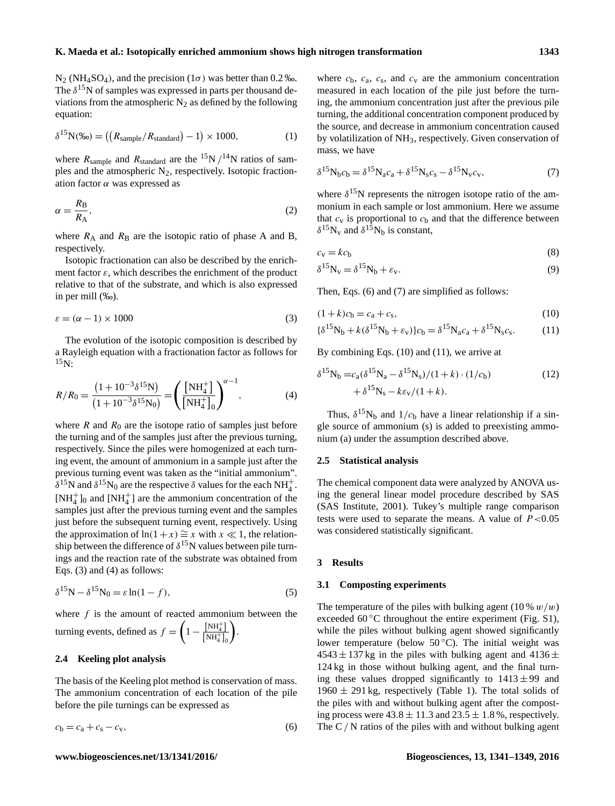N<sub>2</sub> (NH<sub>4</sub>SO<sub>4</sub>), and the precision ( $1\sigma$ ) was better than 0.2 ‰. The  $\delta^{15}$ N of samples was expressed in parts per thousand deviations from the atmospheric  $N_2$  as defined by the following equation:

$$
\delta^{15} \mathcal{N}(\%0) = \left( \left( R_{\text{sample}} / R_{\text{standard}} \right) - 1 \right) \times 1000, \tag{1}
$$

where  $R_{sample}$  and  $R_{standard}$  are the <sup>15</sup>N /<sup>14</sup>N ratios of samples and the atmospheric  $N_2$ , respectively. Isotopic fractionation factor  $\alpha$  was expressed as

$$
\alpha = \frac{R_{\rm B}}{R_{\rm A}},\tag{2}
$$

where  $R_A$  and  $R_B$  are the isotopic ratio of phase A and B, respectively.

Isotopic fractionation can also be described by the enrichment factor  $\varepsilon$ , which describes the enrichment of the product relative to that of the substrate, and which is also expressed in per mill (‰).

$$
\varepsilon = (\alpha - 1) \times 1000\tag{3}
$$

The evolution of the isotopic composition is described by a Rayleigh equation with a fractionation factor as follows for  $^{15}N$ :

$$
R/R_0 = \frac{(1+10^{-3}\delta^{15}N)}{(1+10^{-3}\delta^{15}N_0)} = \left(\frac{[NH_4^+]}{[NH_4^+]_0}\right)^{\alpha-1},\tag{4}
$$

where  $R$  and  $R_0$  are the isotope ratio of samples just before the turning and of the samples just after the previous turning, respectively. Since the piles were homogenized at each turning event, the amount of ammonium in a sample just after the previous turning event was taken as the "initial ammonium".  $\delta^{15}$ N and  $\delta^{15}$ N<sub>0</sub> are the respective  $\delta$  values for the each NH<sub>4</sub><sup>+</sup>.  $[NH_4^+]_0$  and  $[NH_4^+]$  are the ammonium concentration of the samples just after the previous turning event and the samples just before the subsequent turning event, respectively. Using the approximation of ln(1+x)  $\cong$  x with  $x \ll 1$ , the relationship between the difference of  $\delta^{15}$ N values between pile turnings and the reaction rate of the substrate was obtained from Eqs. (3) and (4) as follows:

$$
\delta^{15} \mathbf{N} - \delta^{15} \mathbf{N}_0 = \varepsilon \ln(1 - f),\tag{5}
$$

where  $f$  is the amount of reacted ammonium between the turning events, defined as  $f = \left(1 - \frac{N H_4^+}{N H_4^+}\right)$  $\overline{\left[\text{NH}_4^+\right]_0}$ .

### **2.4 Keeling plot analysis**

The basis of the Keeling plot method is conservation of mass. The ammonium concentration of each location of the pile before the pile turnings can be expressed as

$$
c_{\rm b} = c_{\rm a} + c_{\rm s} - c_{\rm v},\tag{6}
$$

where  $c_{\rm b}$ ,  $c_{\rm a}$ ,  $c_{\rm s}$ , and  $c_{\rm v}$  are the ammonium concentration measured in each location of the pile just before the turning, the ammonium concentration just after the previous pile turning, the additional concentration component produced by the source, and decrease in ammonium concentration caused by volatilization of NH3, respectively. Given conservation of mass, we have

$$
\delta^{15} \mathcal{N}_b c_b = \delta^{15} \mathcal{N}_a c_a + \delta^{15} \mathcal{N}_s c_s - \delta^{15} \mathcal{N}_v c_v,\tag{7}
$$

where  $\delta^{15}$ N represents the nitrogen isotope ratio of the ammonium in each sample or lost ammonium. Here we assume that  $c_v$  is proportional to  $c_b$  and that the difference between  $\delta^{15}N_v$  and  $\delta^{15}N_b$  is constant,

$$
c_{\rm v} = k c_{\rm b} \tag{8}
$$

$$
\delta^{15} \mathbf{N}_v = \delta^{15} \mathbf{N}_b + \varepsilon_v. \tag{9}
$$

Then, Eqs. (6) and (7) are simplified as follows:

$$
(1+k)c_b = c_a + c_s,
$$
\n(10)

$$
\{\delta^{15}N_b + k(\delta^{15}N_b + \varepsilon_v)\}c_b = \delta^{15}N_a c_a + \delta^{15}N_s c_s. \tag{11}
$$

By combining Eqs. (10) and (11), we arrive at

$$
\delta^{15} N_b = c_a (\delta^{15} N_a - \delta^{15} N_s) / (1 + k) \cdot (1/c_b) + \delta^{15} N_s - k \varepsilon_v / (1 + k).
$$
 (12)

Thus,  $\delta^{15}N_b$  and  $1/c_b$  have a linear relationship if a single source of ammonium (s) is added to preexisting ammonium (a) under the assumption described above.

#### **2.5 Statistical analysis**

The chemical component data were analyzed by ANOVA using the general linear model procedure described by SAS (SAS Institute, 2001). Tukey's multiple range comparison tests were used to separate the means. A value of  $P < 0.05$ was considered statistically significant.

#### **3 Results**

#### **3.1 Composting experiments**

The temperature of the piles with bulking agent  $(10\% w/w)$ exceeded  $60^{\circ}$ C throughout the entire experiment (Fig. S1), while the piles without bulking agent showed significantly lower temperature (below  $50^{\circ}$ C). The initial weight was  $4543 \pm 137$  kg in the piles with bulking agent and  $4136 \pm 137$ 124 kg in those without bulking agent, and the final turning these values dropped significantly to  $1413 \pm 99$  and  $1960 \pm 291$  kg, respectively (Table 1). The total solids of the piles with and without bulking agent after the composting process were  $43.8 \pm 11.3$  and  $23.5 \pm 1.8$ %, respectively. The  $C/N$  ratios of the piles with and without bulking agent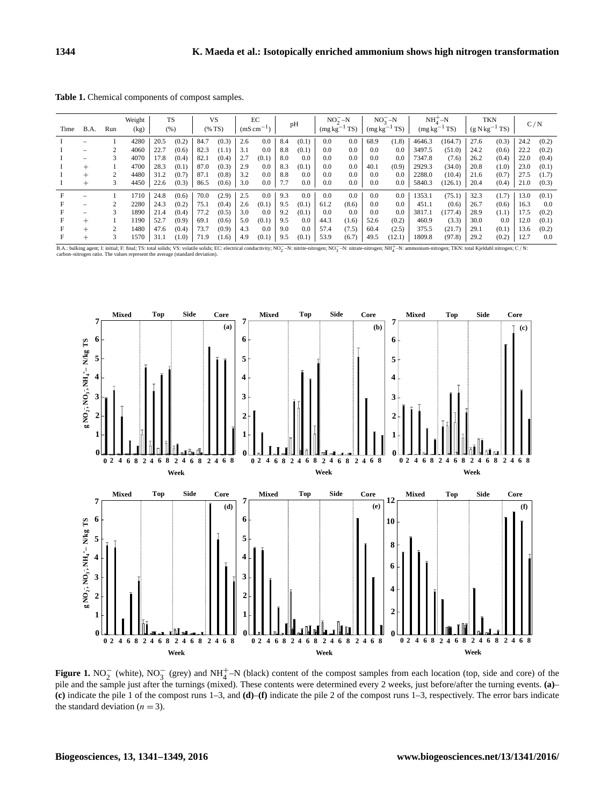**Table 1.** Chemical components of compost samples.

| Time | B.A.   | Run | Weight<br>(kg) | <b>TS</b><br>(% ) |       | <b>VS</b><br>(%TS) |       | EC<br>$(mS \, cm^{-1})$ |       | pH  |                | $NO2-N$<br>$(mg kg-1 TS)$ |       | $NO2 - N$<br>$(mg kg^{-1} TS)$ |        | $NH+-N$<br>T(S)<br>(mg kg <sup>-</sup> |         | TKN<br>$(g N kg^{-1} TS)$ |       | C/N  |       |
|------|--------|-----|----------------|-------------------|-------|--------------------|-------|-------------------------|-------|-----|----------------|---------------------------|-------|--------------------------------|--------|----------------------------------------|---------|---------------------------|-------|------|-------|
|      |        |     | 4280           | 20.5              | (0.2) | 84.7               | (0.3) | 2.6                     | 0.0   | 8.4 | (0.1)          | 0.0                       | 0.0   | 68.9                           | (1.8)  | 4646.3                                 | (164.7) | 27.6                      | (0.3) | 24.2 | (0.2) |
|      | -      |     | 4060           | 22.7              | (0.6) | 82.3               | (1.1) | 3.1                     | 0.0   | 8.8 | (0.1)          | 0.0                       | 0.0   | 0.0                            | 0.0    | 3497.5                                 | (51.0)  | 24.2                      | (0.6) | 22.2 | (0.2) |
|      | -      |     | 4070           | 17.8              | (0.4) | 82.1               | (0.4) | 2.7                     | (0.1) | 8.0 | 0.0            | 0.0                       | 0.0   | 0.0                            | 0.0    | 7347.8                                 | (7.6)   | 26.2                      | (0.4) | 22.0 | (0.4) |
|      | $+$    |     | 4700           | 28.3              | (0.1) | 87.0               | (0.3) | 2.9                     | 0.0   | 8.3 | (0.1)          | 0.0                       | 0.0   | 40.1                           | (0.9)  | 2929.3                                 | (34.0)  | 20.8                      | (1.0) | 23.0 | (0.1) |
|      | $+$    |     | 4480           | 31.2              | (0.7) | 87.1               | (0.8) | 3.2                     | 0.0   | 8.8 | 0.0            | 0.0                       | 0.0   | 0.0                            | 0.0    | 2288.0                                 | (10.4)  | 21.6                      | (0.7) | 27.5 | (1.7) |
|      | $^{+}$ | 3   | 4450           | 22.6              | (0.3) | 86.5               | (0.6) | 3.0                     | 0.0   | 7.7 | 0.0            | 0.0                       | 0.0   | 0.0                            | 0.0    | 5840.3                                 | (126.1) | 20.4                      | (0.4) | 21.0 | (0.3) |
|      | -      |     | 1710           | 24.8              | (0.6) | 70.0               | (2.9) | 2.5                     | 0.0   | 9.3 | 0.0            | 0.0                       | 0.0   | 0.0                            | 0.0    | 1353.1                                 | (75.1)  | 32.3                      | (1.7) | 13.0 | (0.1) |
|      | -      |     | 2280           | 24.3              | (0.2) | 75.1               | (0.4) | 2.6                     | (0.1) | 9.5 | (0.1)          | 61.2                      | (8.6) | 0.0                            | 0.0    | 451.1                                  | (0.6)   | 26.7                      | (0.6) | 16.3 | 0.0   |
|      | -      |     | 1890           | 21.4              | (0.4) | 77.2               | (0.5) | 3.0                     | 0.0   | 9.2 | (0.1)          | 0.0                       | 0.0   | 0.0                            | 0.0    | 3817.1                                 | (177.4) | 28.9                      | (1.1) | 17.5 | (0.2) |
|      | $+$    |     | 1190           | 52.7              | (0.9) | 69.1               | (0.6) | 5.0                     | (0.1) | 9.5 | 0 <sub>c</sub> | 44.3                      | (1.6) | 52.6                           | (0.2)  | 460.9                                  | (3.3)   | 30.0                      | 0.0   | 12.0 | (0.1) |
|      | $^{+}$ |     | 1480           | 47.6              | (0.4) | 73.7               | (0.9) | 4.3                     | 0.0   | 9.0 | 0.0            | 57.4                      | (7.5) | 60.4                           | (2.5)  | 375.5                                  | (21.7)  | 29.1                      | (0.1) | 13.6 | (0.2) |
|      | $^+$   |     | 1570           | 31.1              | (1.0) | 71.9               | (1.6) | 4.9                     | (0.1) | 9.5 | (0.1)          | 53.9                      | (6.7) | 49.5                           | (12.1) | 1809.8                                 | (97.8)  | 29.2                      | (0.2) | 12.7 | 0.0   |

B.A.: bulking agent; 1: mitial; F: final; TS: total solids; VS: volatile solids; EC: electrical conductivity; NO<sub>2</sub> -N: nitrite-nitrogen; NO<sub>3</sub> -N: nitrate-nitrogen; NH<sub>4</sub> -N: ammonium-nitrogen; TKN: total Kjeldahl nitrog -nitrogen ratio. The values represent the average (standard deviation).



**Figure 1.** NO<sub>2</sub><sup> $-$ </sup> (white), NO<sub>3</sub><sup> $-$ </sup> (grey) and NH<sup>+</sup><sub>4</sub><sup> $-$ </sup>N (black) content of the compost samples from each location (top, side and core) of the pile and the sample just after the turnings (mixed). These contents were determined every 2 weeks, just before/after the turning events. **(a)**– **(c)** indicate the pile 1 of the compost runs 1–3, and **(d)**–**(f)** indicate the pile 2 of the compost runs 1–3, respectively. The error bars indicate the standard deviation  $(n = 3)$ .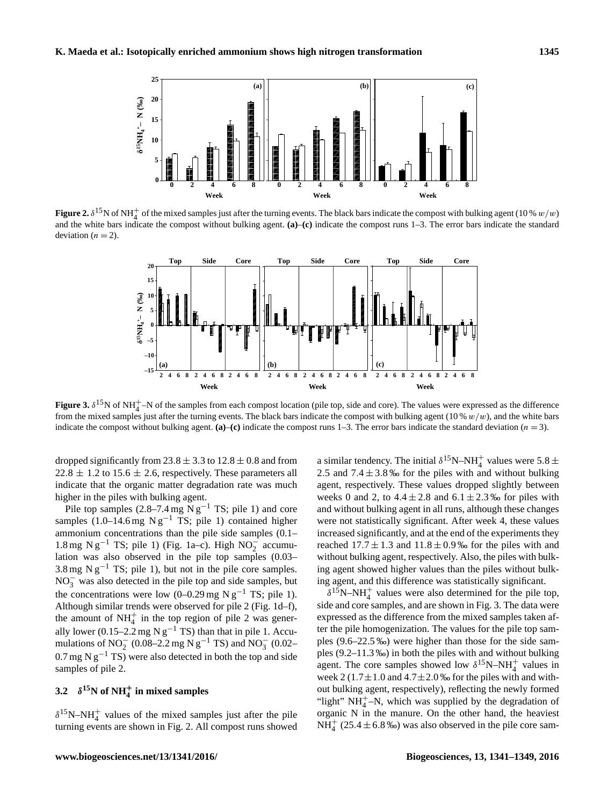

**Figure 2.**  $\delta^{15}$ N of NH<sup>+</sup> of the mixed samples just after the turning events. The black bars indicate the compost with bulking agent (10 % w/w) and the white bars indicate the compost without bulking agent. **(a)**–**(c)** indicate the compost runs 1–3. The error bars indicate the standard deviation  $(n = 2)$ .



**Figure 3.**  $\delta^{15}$ N of NH<sup>+</sup> $\sim$ N of the samples from each compost location (pile top, side and core). The values were expressed as the difference from the mixed samples just after the turning events. The black bars indicate the compost with bulking agent (10 %  $w/w$ ), and the white bars indicate the compost without bulking agent.  $(a)$ – $(c)$  indicate the compost runs 1–3. The error bars indicate the standard deviation ( $n = 3$ ).

dropped significantly from  $23.8 \pm 3.3$  to  $12.8 \pm 0.8$  and from  $22.8 \pm 1.2$  to  $15.6 \pm 2.6$ , respectively. These parameters all indicate that the organic matter degradation rate was much higher in the piles with bulking agent.

Pile top samples (2.8–7.4 mg N  $g^{-1}$  TS; pile 1) and core samples  $(1.0-14.6 \text{ mg N g}^{-1} \text{ TS}; \text{ pile 1})$  contained higher ammonium concentrations than the pile side samples (0.1– 1.8 mg N g<sup>-1</sup> TS; pile 1) (Fig. 1a-c). High NO<sub>2</sub><sup>-</sup> accumulation was also observed in the pile top samples (0.03– 3.8 mg N  $g^{-1}$  TS; pile 1), but not in the pile core samples.  $NO<sub>3</sub><sup>-</sup>$  was also detected in the pile top and side samples, but the concentrations were low (0–0.29 mg N  $g^{-1}$  TS; pile 1). Although similar trends were observed for pile 2 (Fig. 1d–f), the amount of  $NH_4^+$  in the top region of pile 2 was generally lower (0.15–2.2 mg N  $g^{-1}$  TS) than that in pile 1. Accumulations of NO<sub>2</sub> (0.08–2.2 mg N g<sup>-1</sup> TS) and NO<sub>3</sub> (0.02–  $0.7$  mg N g<sup>-1</sup> TS) were also detected in both the top and side samples of pile 2.

## **3.2**  $\delta^{15}$ N of NH<sup> $+$ </sup><sub>4</sub> in mixed samples

 $\delta^{15}$ N–NH<sup>+</sup> values of the mixed samples just after the pile turning events are shown in Fig. 2. All compost runs showed

a similar tendency. The initial  $\delta^{15}$ N-NH<sup>+</sup> values were 5.8 ± 2.5 and  $7.4 \pm 3.8$ % for the piles with and without bulking agent, respectively. These values dropped slightly between weeks 0 and 2, to  $4.4 \pm 2.8$  and  $6.1 \pm 2.3$ % for piles with and without bulking agent in all runs, although these changes were not statistically significant. After week 4, these values increased significantly, and at the end of the experiments they reached  $17.7 \pm 1.3$  and  $11.8 \pm 0.9$ % for the piles with and without bulking agent, respectively. Also, the piles with bulking agent showed higher values than the piles without bulking agent, and this difference was statistically significant.

 $\delta^{15}$ N-NH<sup>+</sup> values were also determined for the pile top, side and core samples, and are shown in Fig. 3. The data were expressed as the difference from the mixed samples taken after the pile homogenization. The values for the pile top samples (9.6–22.5 ‰) were higher than those for the side samples (9.2–11.3 ‰) in both the piles with and without bulking agent. The core samples showed low  $\delta^{15}$ N–NH<sup>+</sup> values in week 2 (1.7 $\pm$ 1.0 and 4.7 $\pm$ 2.0 ‰ for the piles with and without bulking agent, respectively), reflecting the newly formed "light"  $NH_4^+$ –N, which was supplied by the degradation of organic N in the manure. On the other hand, the heaviest  $NH_4^+$  (25.4  $\pm$  6.8 ‰) was also observed in the pile core sam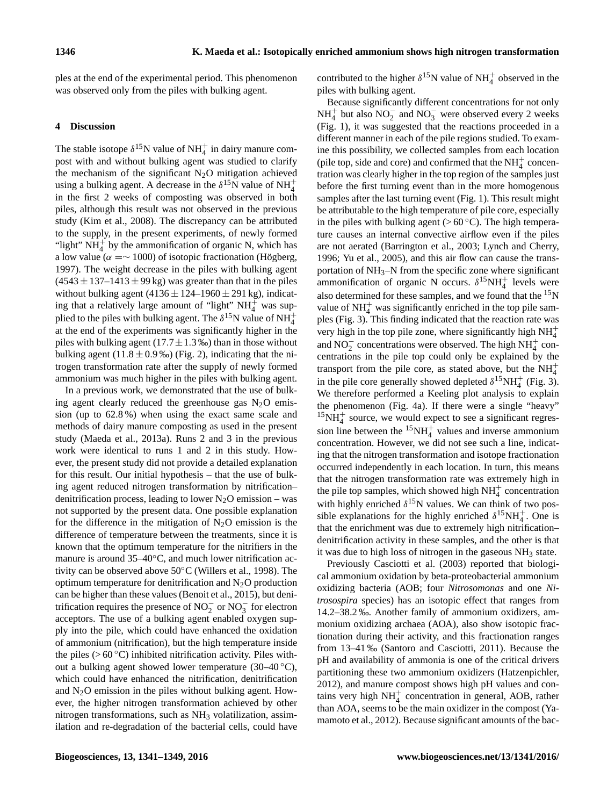ples at the end of the experimental period. This phenomenon was observed only from the piles with bulking agent.

## **4 Discussion**

The stable isotope  $\delta^{15}$ N value of NH<sup>+</sup> in dairy manure compost with and without bulking agent was studied to clarify the mechanism of the significant  $N_2O$  mitigation achieved using a bulking agent. A decrease in the  $\delta^{15}$ N value of NH<sup>+</sup><sub>4</sub> in the first 2 weeks of composting was observed in both piles, although this result was not observed in the previous study (Kim et al., 2008). The discrepancy can be attributed to the supply, in the present experiments, of newly formed "light"  $NH_4^+$  by the ammonification of organic N, which has a low value ( $\alpha = \sim 1000$ ) of isotopic fractionation (Högberg, 1997). The weight decrease in the piles with bulking agent  $(4543 \pm 137 - 1413 \pm 99 \text{ kg})$  was greater than that in the piles without bulking agent  $(4136 \pm 124 - 1960 \pm 291 \text{ kg})$ , indicating that a relatively large amount of "light"  $NH_4^+$  was supplied to the piles with bulking agent. The  $\delta^{15}$ N value of NH $_4^+$ at the end of the experiments was significantly higher in the piles with bulking agent ( $17.7 \pm 1.3$  ‰) than in those without bulking agent (11.8  $\pm$  0.9 ‰) (Fig. 2), indicating that the nitrogen transformation rate after the supply of newly formed ammonium was much higher in the piles with bulking agent.

In a previous work, we demonstrated that the use of bulking agent clearly reduced the greenhouse gas  $N<sub>2</sub>O$  emission (up to 62.8 %) when using the exact same scale and methods of dairy manure composting as used in the present study (Maeda et al., 2013a). Runs 2 and 3 in the previous work were identical to runs 1 and 2 in this study. However, the present study did not provide a detailed explanation for this result. Our initial hypothesis – that the use of bulking agent reduced nitrogen transformation by nitrification– denitrification process, leading to lower  $N_2O$  emission – was not supported by the present data. One possible explanation for the difference in the mitigation of  $N_2O$  emission is the difference of temperature between the treatments, since it is known that the optimum temperature for the nitrifiers in the manure is around 35–40<sup>°</sup>C, and much lower nitrification activity can be observed above 50◦C (Willers et al., 1998). The optimum temperature for denitrification and  $N_2O$  production can be higher than these values (Benoit et al., 2015), but denitrification requires the presence of  $NO_2^-$  or  $NO_3^-$  for electron acceptors. The use of a bulking agent enabled oxygen supply into the pile, which could have enhanced the oxidation of ammonium (nitrification), but the high temperature inside the piles ( $> 60^{\circ}$ C) inhibited nitrification activity. Piles without a bulking agent showed lower temperature  $(30-40\degree C)$ , which could have enhanced the nitrification, denitrification and  $N<sub>2</sub>O$  emission in the piles without bulking agent. However, the higher nitrogen transformation achieved by other nitrogen transformations, such as  $NH<sub>3</sub>$  volatilization, assimilation and re-degradation of the bacterial cells, could have

contributed to the higher  $\delta^{15}N$  value of NH<sub>4</sub><sup>+</sup> observed in the piles with bulking agent.

Because significantly different concentrations for not only  $NH_4^+$  but also  $NO_2^-$  and  $NO_3^-$  were observed every 2 weeks (Fig. 1), it was suggested that the reactions proceeded in a different manner in each of the pile regions studied. To examine this possibility, we collected samples from each location (pile top, side and core) and confirmed that the  $\mathrm{NH}_4^+$  concentration was clearly higher in the top region of the samples just before the first turning event than in the more homogenous samples after the last turning event (Fig. 1). This result might be attributable to the high temperature of pile core, especially in the piles with bulking agent ( $> 60^{\circ}$ C). The high temperature causes an internal convective airflow even if the piles are not aerated (Barrington et al., 2003; Lynch and Cherry, 1996; Yu et al., 2005), and this air flow can cause the transportation of  $NH_3-N$  from the specific zone where significant ammonification of organic N occurs.  $\delta^{15}NH_4^+$  levels were also determined for these samples, and we found that the <sup>15</sup>N value of  $NH<sub>4</sub><sup>+</sup>$  was significantly enriched in the top pile samples (Fig. 3). This finding indicated that the reaction rate was very high in the top pile zone, where significantly high  $NH_4^+$ and NO<sub>2</sub> concentrations were observed. The high NH<sup>+</sup><sub>4</sub> concentrations in the pile top could only be explained by the transport from the pile core, as stated above, but the  $NH_4^+$ in the pile core generally showed depleted  $\delta^{15}NH_4^+$  (Fig. 3). We therefore performed a Keeling plot analysis to explain the phenomenon (Fig. 4a). If there were a single "heavy"  ${}^{15}NH_4^+$  source, we would expect to see a significant regression line between the  ${}^{15}NH_4^+$  values and inverse ammonium concentration. However, we did not see such a line, indicating that the nitrogen transformation and isotope fractionation occurred independently in each location. In turn, this means that the nitrogen transformation rate was extremely high in the pile top samples, which showed high  $NH<sub>4</sub><sup>+</sup>$  concentration with highly enriched  $\delta^{15}$ N values. We can think of two possible explanations for the highly enriched  $\delta^{15}NH_4^+$ . One is that the enrichment was due to extremely high nitrification– denitrification activity in these samples, and the other is that it was due to high loss of nitrogen in the gaseous NH<sup>3</sup> state.

Previously Casciotti et al. (2003) reported that biological ammonium oxidation by beta-proteobacterial ammonium oxidizing bacteria (AOB; four *Nitrosomonas* and one *Nitrosospira* species) has an isotopic effect that ranges from 14.2–38.2 ‰. Another family of ammonium oxidizers, ammonium oxidizing archaea (AOA), also show isotopic fractionation during their activity, and this fractionation ranges from 13–41 ‰ (Santoro and Casciotti, 2011). Because the pH and availability of ammonia is one of the critical drivers partitioning these two ammonium oxidizers (Hatzenpichler, 2012), and manure compost shows high pH values and contains very high  $NH<sub>4</sub><sup>+</sup>$  concentration in general, AOB, rather than AOA, seems to be the main oxidizer in the compost (Yamamoto et al., 2012). Because significant amounts of the bac-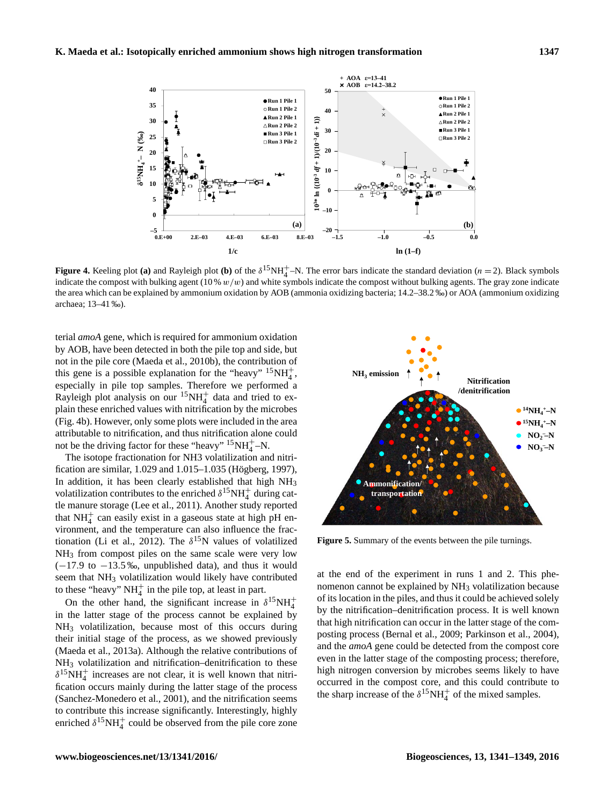

**Figure 4.** Keeling plot (a) and Rayleigh plot (b) of the  $\delta^{15}NH_4^+$ –N. The error bars indicate the standard deviation (n = 2). Black symbols indicate the compost with bulking agent  $(10\% w/w)$  and white symbols indicate the compost without bulking agents. The gray zone indicate the area which can be explained by ammonium oxidation by AOB (ammonia oxidizing bacteria; 14.2–38.2 ‰) or AOA (ammonium oxidizing archaea; 13–41 ‰).

terial *amoA* gene, which is required for ammonium oxidation by AOB, have been detected in both the pile top and side, but not in the pile core (Maeda et al., 2010b), the contribution of this gene is a possible explanation for the "heavy"  $15NH_4^+$ , especially in pile top samples. Therefore we performed a Rayleigh plot analysis on our  ${}^{15}NH_4^+$  data and tried to explain these enriched values with nitrification by the microbes (Fig. 4b). However, only some plots were included in the area attributable to nitrification, and thus nitrification alone could not be the driving factor for these "heavy"  $15NH_4^+$ –N.

The isotope fractionation for NH3 volatilization and nitrification are similar, 1.029 and 1.015–1.035 (Högberg, 1997), In addition, it has been clearly established that high NH<sub>3</sub> volatilization contributes to the enriched  $\delta^{15}NH_4^+$  during cattle manure storage (Lee et al., 2011). Another study reported that  $NH<sub>4</sub><sup>+</sup>$  can easily exist in a gaseous state at high pH environment, and the temperature can also influence the fractionation (Li et al., 2012). The  $\delta^{15}N$  values of volatilized NH<sup>3</sup> from compost piles on the same scale were very low  $(-17.9 \text{ to } -13.5 \text{ %},$  unpublished data), and thus it would seem that NH<sub>3</sub> volatilization would likely have contributed to these "heavy"  $NH_4^+$  in the pile top, at least in part.

On the other hand, the significant increase in  $\delta^{15}NH_4^+$ in the latter stage of the process cannot be explained by NH<sup>3</sup> volatilization, because most of this occurs during their initial stage of the process, as we showed previously (Maeda et al., 2013a). Although the relative contributions of NH<sub>3</sub> volatilization and nitrification–denitrification to these  $\delta^{15}NH_4^+$  increases are not clear, it is well known that nitrification occurs mainly during the latter stage of the process (Sanchez-Monedero et al., 2001), and the nitrification seems to contribute this increase significantly. Interestingly, highly enriched  $\delta^{15}NH_4^+$  could be observed from the pile core zone



**Figure 5.** Summary of the events between the pile turnings.

at the end of the experiment in runs 1 and 2. This phenomenon cannot be explained by NH<sub>3</sub> volatilization because of its location in the piles, and thus it could be achieved solely by the nitrification–denitrification process. It is well known that high nitrification can occur in the latter stage of the composting process (Bernal et al., 2009; Parkinson et al., 2004), and the *amoA* gene could be detected from the compost core even in the latter stage of the composting process; therefore, high nitrogen conversion by microbes seems likely to have occurred in the compost core, and this could contribute to the sharp increase of the  $\delta^{15}NH_4^+$  of the mixed samples.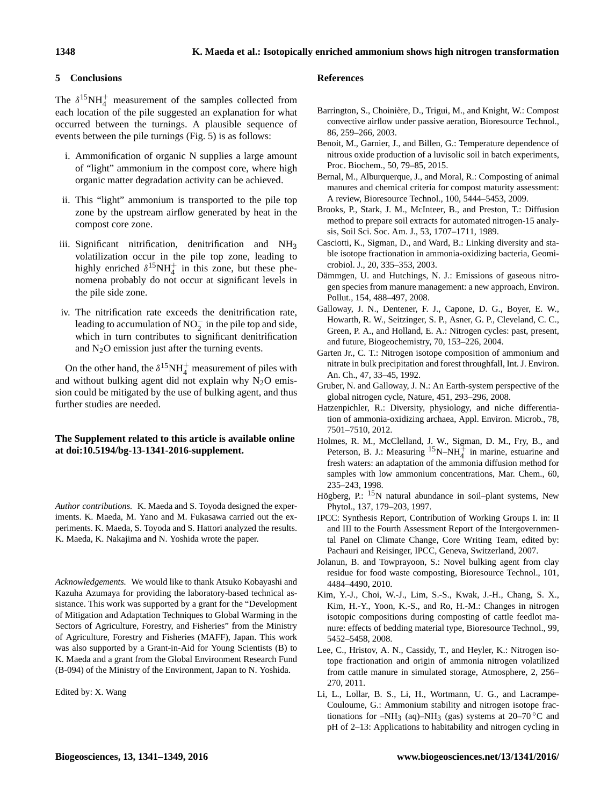## **5 Conclusions**

The  $\delta^{15}NH_4^+$  measurement of the samples collected from each location of the pile suggested an explanation for what occurred between the turnings. A plausible sequence of events between the pile turnings (Fig. 5) is as follows:

- i. Ammonification of organic N supplies a large amount of "light" ammonium in the compost core, where high organic matter degradation activity can be achieved.
- ii. This "light" ammonium is transported to the pile top zone by the upstream airflow generated by heat in the compost core zone.
- iii. Significant nitrification, denitrification and NH<sup>3</sup> volatilization occur in the pile top zone, leading to highly enriched  $\delta^{15}NH_4^+$  in this zone, but these phenomena probably do not occur at significant levels in the pile side zone.
- iv. The nitrification rate exceeds the denitrification rate, leading to accumulation of  $NO_2^-$  in the pile top and side, which in turn contributes to significant denitrification and  $N<sub>2</sub>O$  emission just after the turning events.

On the other hand, the  $\delta^{15}NH_4^+$  measurement of piles with and without bulking agent did not explain why  $N_2O$  emission could be mitigated by the use of bulking agent, and thus further studies are needed.

## **The Supplement related to this article is available online at [doi:10.5194/bg-13-1341-2016-supplement.](http://dx.doi.org/10.5194/bg-13-1341-2016-supplement)**

*Author contributions.* K. Maeda and S. Toyoda designed the experiments. K. Maeda, M. Yano and M. Fukasawa carried out the experiments. K. Maeda, S. Toyoda and S. Hattori analyzed the results. K. Maeda, K. Nakajima and N. Yoshida wrote the paper.

*Acknowledgements.* We would like to thank Atsuko Kobayashi and Kazuha Azumaya for providing the laboratory-based technical assistance. This work was supported by a grant for the "Development of Mitigation and Adaptation Techniques to Global Warming in the Sectors of Agriculture, Forestry, and Fisheries" from the Ministry of Agriculture, Forestry and Fisheries (MAFF), Japan. This work was also supported by a Grant-in-Aid for Young Scientists (B) to K. Maeda and a grant from the Global Environment Research Fund (B-094) of the Ministry of the Environment, Japan to N. Yoshida.

Edited by: X. Wang

## **References**

- Barrington, S., Choinière, D., Trigui, M., and Knight, W.: Compost convective airflow under passive aeration, Bioresource Technol., 86, 259–266, 2003.
- Benoit, M., Garnier, J., and Billen, G.: Temperature dependence of nitrous oxide production of a luvisolic soil in batch experiments, Proc. Biochem., 50, 79–85, 2015.
- Bernal, M., Alburquerque, J., and Moral, R.: Composting of animal manures and chemical criteria for compost maturity assessment: A review, Bioresource Technol., 100, 5444–5453, 2009.
- Brooks, P., Stark, J. M., McInteer, B., and Preston, T.: Diffusion method to prepare soil extracts for automated nitrogen-15 analysis, Soil Sci. Soc. Am. J., 53, 1707–1711, 1989.
- Casciotti, K., Sigman, D., and Ward, B.: Linking diversity and stable isotope fractionation in ammonia-oxidizing bacteria, Geomicrobiol. J., 20, 335–353, 2003.
- Dämmgen, U. and Hutchings, N. J.: Emissions of gaseous nitrogen species from manure management: a new approach, Environ. Pollut., 154, 488–497, 2008.
- Galloway, J. N., Dentener, F. J., Capone, D. G., Boyer, E. W., Howarth, R. W., Seitzinger, S. P., Asner, G. P., Cleveland, C. C., Green, P. A., and Holland, E. A.: Nitrogen cycles: past, present, and future, Biogeochemistry, 70, 153–226, 2004.
- Garten Jr., C. T.: Nitrogen isotope composition of ammonium and nitrate in bulk precipitation and forest throughfall, Int. J. Environ. An. Ch., 47, 33–45, 1992.
- Gruber, N. and Galloway, J. N.: An Earth-system perspective of the global nitrogen cycle, Nature, 451, 293–296, 2008.
- Hatzenpichler, R.: Diversity, physiology, and niche differentiation of ammonia-oxidizing archaea, Appl. Environ. Microb., 78, 7501–7510, 2012.
- Holmes, R. M., McClelland, J. W., Sigman, D. M., Fry, B., and Peterson, B. J.: Measuring  $15N-NH_4^+$  in marine, estuarine and fresh waters: an adaptation of the ammonia diffusion method for samples with low ammonium concentrations, Mar. Chem., 60, 235–243, 1998.
- Högberg, P.: <sup>15</sup>N natural abundance in soil–plant systems, New Phytol., 137, 179–203, 1997.
- IPCC: Synthesis Report, Contribution of Working Groups I. in: II and III to the Fourth Assessment Report of the Intergovernmental Panel on Climate Change, Core Writing Team, edited by: Pachauri and Reisinger, IPCC, Geneva, Switzerland, 2007.
- Jolanun, B. and Towprayoon, S.: Novel bulking agent from clay residue for food waste composting, Bioresource Technol., 101, 4484–4490, 2010.
- Kim, Y.-J., Choi, W.-J., Lim, S.-S., Kwak, J.-H., Chang, S. X., Kim, H.-Y., Yoon, K.-S., and Ro, H.-M.: Changes in nitrogen isotopic compositions during composting of cattle feedlot manure: effects of bedding material type, Bioresource Technol., 99, 5452–5458, 2008.
- Lee, C., Hristov, A. N., Cassidy, T., and Heyler, K.: Nitrogen isotope fractionation and origin of ammonia nitrogen volatilized from cattle manure in simulated storage, Atmosphere, 2, 256– 270, 2011.
- Li, L., Lollar, B. S., Li, H., Wortmann, U. G., and Lacrampe-Couloume, G.: Ammonium stability and nitrogen isotope fractionations for –NH<sub>3</sub> (aq)–NH<sub>3</sub> (gas) systems at 20–70 °C and pH of 2–13: Applications to habitability and nitrogen cycling in